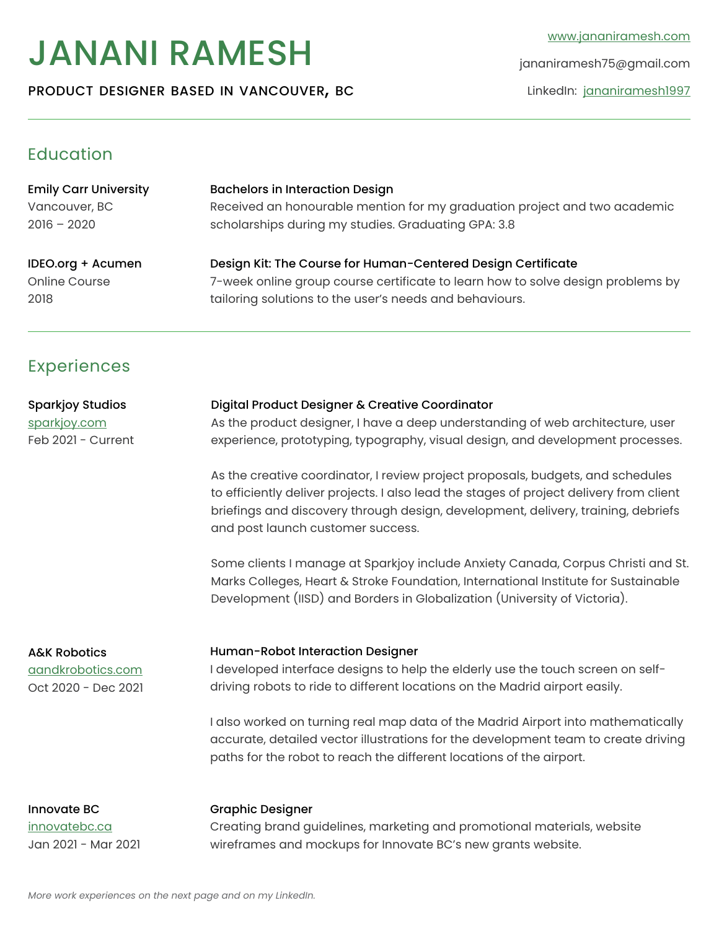# JANANI RAMESH

product designer based in vancouver, bc

jananiramesh75@gmail.com

LinkedIn: [jananiramesh1997](https://www.linkedin.com/in/jananiramesh1997/)

# Education

Online Course

2018

| <b>Emily Carr University</b> | <b>Bachelors in Interaction Design</b>                                    |
|------------------------------|---------------------------------------------------------------------------|
| Vancouver, BC                | Received an honourable mention for my graduation project and two academic |
| $2016 - 2020$                | scholarships during my studies. Graduating GPA: 3.8                       |
| IDEO.org + Acumen            | Design Kit: The Course for Human-Centered Design Certificate              |

7-week online group course certificate to learn how to solve design problems by tailoring solutions to the user's needs and behaviours.

# Experiences

| <b>Sparkjoy Studios</b><br>sparkjoy.com<br>Feb 2021 - Current       | Digital Product Designer & Creative Coordinator<br>As the product designer, I have a deep understanding of web architecture, user<br>experience, prototyping, typography, visual design, and development processes.                                                                                  |  |
|---------------------------------------------------------------------|------------------------------------------------------------------------------------------------------------------------------------------------------------------------------------------------------------------------------------------------------------------------------------------------------|--|
|                                                                     | As the creative coordinator, I review project proposals, budgets, and schedules<br>to efficiently deliver projects. I also lead the stages of project delivery from client<br>briefings and discovery through design, development, delivery, training, debriefs<br>and post launch customer success. |  |
|                                                                     | Some clients I manage at Sparkjoy include Anxiety Canada, Corpus Christi and St.<br>Marks Colleges, Heart & Stroke Foundation, International Institute for Sustainable<br>Development (IISD) and Borders in Globalization (University of Victoria).                                                  |  |
| <b>A&amp;K Robotics</b><br>aandkrobotics.com<br>Oct 2020 - Dec 2021 | Human-Robot Interaction Designer<br>I developed interface designs to help the elderly use the touch screen on self-<br>driving robots to ride to different locations on the Madrid airport easily.                                                                                                   |  |
|                                                                     | I also worked on turning real map data of the Madrid Airport into mathematically<br>accurate, detailed vector illustrations for the development team to create driving<br>paths for the robot to reach the different locations of the airport.                                                       |  |
| Innovate BC                                                         | <b>Graphic Designer</b>                                                                                                                                                                                                                                                                              |  |
| innovatebc.ca<br>Jan 2021 - Mar 2021                                | Creating brand guidelines, marketing and promotional materials, website<br>wireframes and mockups for Innovate BC's new grants website.                                                                                                                                                              |  |